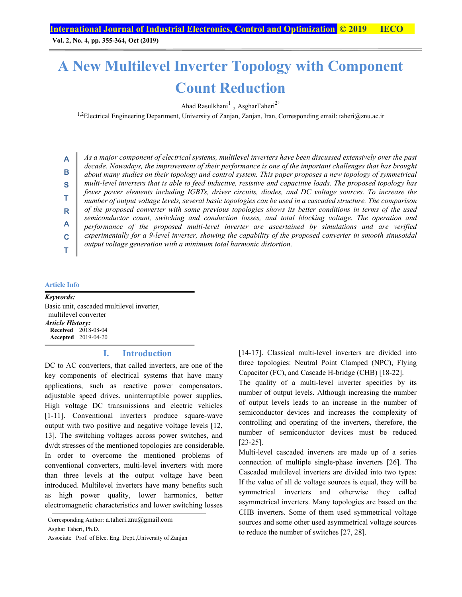**Vol. 2, No. 4, pp. 355-364, Oct (2019)**

## **A New Multilevel Inverter Topology with Component Count Reduction**

Ahad Rasulkhani $^1$ , AsgharTaheri $^{2\dagger}$ 

<sup>1,2</sup>Electrical Engineering Department, University of Zanjan, Zanjan, Iran, Corresponding email: taheri@znu.ac.ir

**B S T R A C T**

**A**

*As a major component of electrical systems, multilevel inverters have been discussed extensively over the past decade. Nowadays, the improvement of their performance is one of the important challenges that has brought about many studies on their topology and control system. This paper proposes a new topology of symmetrical multi-level inverters that is able to feed inductive, resistive and capacitive loads. The proposed topology has fewer power elements including IGBTs, driver circuits, diodes, and DC voltage sources. To increase the number of output voltage levels, several basic topologies can be used in a cascaded structure. The comparison of the proposed converter with some previous topologies shows its better conditions in terms of the used semiconductor count, switching and conduction losses, and total blocking voltage. The operation and performance of the proposed multi-level inverter are ascertained by simulations and are verified experimentally for a 9-level inverter, showing the capability of the proposed converter in smooth sinusoidal output voltage generation with a minimum total harmonic distortion.*

#### **Article Info**

*Keywords:*  Basic unit, cascaded multilevel inverter, multilevel converter *Article History:*  **Received** 2018-08-04 **Accepted** 2019-04-20

#### **I. Introduction**

DC to AC converters, that called inverters, are one of the key components of electrical systems that have many applications, such as reactive power compensators, adjustable speed drives, uninterruptible power supplies, High voltage DC transmissions and electric vehicles [1-11]. Conventional inverters produce square-wave output with two positive and negative voltage levels [12, 13]. The switching voltages across power switches, and dv/dt stresses of the mentioned topologies are considerable. In order to overcome the mentioned problems of conventional converters, multi-level inverters with more than three levels at the output voltage have been introduced. Multilevel inverters have many benefits such as high power quality, lower harmonics, better electromagnetic characteristics and lower switching losses

[14-17]. Classical multi-level inverters are divided into three topologies: Neutral Point Clamped (NPC), Flying Capacitor (FC), and Cascade H-bridge (CHB) [18-22].

The quality of a multi-level inverter specifies by its number of output levels. Although increasing the number of output levels leads to an increase in the number of semiconductor devices and increases the complexity of controlling and operating of the inverters, therefore, the number of semiconductor devices must be reduced [23-25].

Multi-level cascaded inverters are made up of a series connection of multiple single-phase inverters [26]. The Cascaded multilevel inverters are divided into two types: If the value of all dc voltage sources is equal, they will be symmetrical inverters and otherwise they called asymmetrical inverters. Many topologies are based on the CHB inverters. Some of them used symmetrical voltage sources and some other used asymmetrical voltage sources to reduce the number of switches [27, 28].

Corresponding Author: a.taheri.znu@gmail.com

Asghar Taheri, Ph.D.

Associate Prof. of Elec. Eng. Dept.,University of Zanjan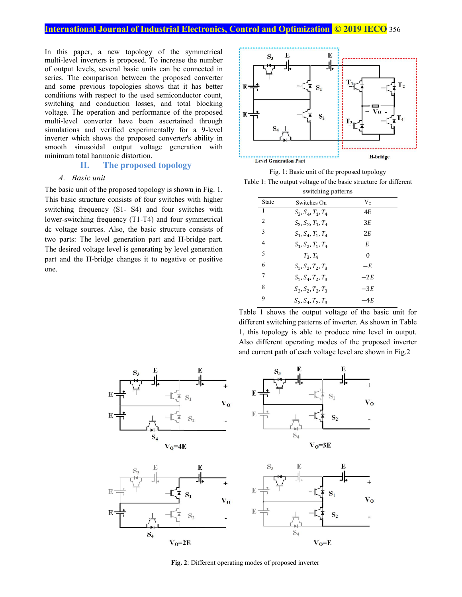In this paper, a new topology of the symmetrical multi-level inverters is proposed. To increase the number of output levels, several basic units can be connected in series. The comparison between the proposed converter and some previous topologies shows that it has better conditions with respect to the used semiconductor count, switching and conduction losses, and total blocking voltage. The operation and performance of the proposed multi-level converter have been ascertained through simulations and verified experimentally for a 9-level inverter which shows the proposed converter's ability in smooth sinusoidal output voltage generation with minimum total harmonic distortion.

#### **II. The proposed topology**

#### *A. Basic unit*

The basic unit of the proposed topology is shown in Fig. 1. This basic structure consists of four switches with higher switching frequency (S1- S4) and four switches with lower-switching frequency (T1-T4) and four symmetrical dc voltage sources. Also, the basic structure consists of two parts: The level generation part and H-bridge part. The desired voltage level is generating by level generation part and the H-bridge changes it to negative or positive one.





| switching patterns |                      |         |  |  |  |
|--------------------|----------------------|---------|--|--|--|
| State              | Switches On          | $V_{O}$ |  |  |  |
| 1                  | $S_3, S_4, T_1, T_4$ | 4E      |  |  |  |
| 2                  | $S_3, S_2, T_1, T_4$ | 3E      |  |  |  |
| 3                  | $S_1, S_4, T_1, T_4$ | 2.F.    |  |  |  |
| 4                  | $S_1, S_2, T_1, T_4$ | E       |  |  |  |
| 5                  | $T_2, T_A$           | 0       |  |  |  |
| 6                  | $S_1, S_2, T_2, T_3$ | $-E$    |  |  |  |
| 7                  | $S_1, S_4, T_2, T_3$ | $-2E$   |  |  |  |
| 8                  | $S_3, S_2, T_2, T_3$ | $-3E$   |  |  |  |
| 9                  | $S_3, S_4, T_2, T_3$ | –4F     |  |  |  |

Table 1 shows the output voltage of the basic unit for different switching patterns of inverter. As shown in Table 1, this topology is able to produce nine level in output. Also different operating modes of the proposed inverter and current path of each voltage level are shown in Fig.2









**Fig. 2**: Different operating modes of proposed inverter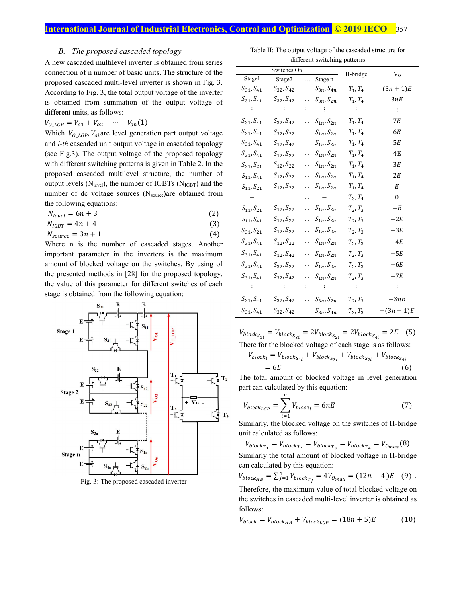#### *B. The proposed cascaded topology*

A new cascaded multilevel inverter is obtained from series connection of n number of basic units. The structure of the proposed cascaded multi-level inverter is shown in Fig. 3. According to Fig. 3, the total output voltage of the inverter is obtained from summation of the output voltage of different units, as follows:

$$
V_{O_LGP} = V_{o1} + V_{o2} + \dots + V_{on}(1)
$$
  
Which  $V_{O_LGP}$ ,  $V_{oi}$  are level generation part output voltage  
and *i-th* cascaded unit output voltage in cascaded topology  
(see Fig.3). The output voltage of the proposed topology  
with different switching patterns is given in Table 2. In the  
proposed cascaded multilevel structure, the number of  
output levels (N<sub>level</sub>), the number of IGBTs (N<sub>IGBT</sub>) and the  
number of dc voltage sources (N<sub>source</sub>)are obtained from  
the following equations:

$$
N_{level} = 6n + 3
$$
 (2)

$$
N_{IGBT} = 4n + 4\tag{3}
$$

$$
N_{source} = 3n + 1 \tag{4}
$$

Where n is the number of cascaded stages. Another important parameter in the inverters is the maximum amount of blocked voltage on the switches. By using of the presented methods in [28] for the proposed topology, the value of this parameter for different switches of each stage is obtained from the following equation:



Fig. 3: The proposed cascaded inverter

Table II: The output voltage of the cascaded structure for different switching patterns

|                     | Switches On         |          |                                         | H-bridge       |                |
|---------------------|---------------------|----------|-----------------------------------------|----------------|----------------|
| Stage1              | Stage2              | $\cdots$ | Stage n                                 |                | $V_{O}$        |
| $S_{31}, S_{41}$    | $S_{32}$ , $S_{42}$ |          | $S_{3n}$ , $S_{4n}$                     | $T_1, T_4$     | $(3n + 1)E$    |
| $S_{31}, S_{41}$    | $S_{32}$ , $S_{42}$ |          | $S_{3n}$ , $S_{2n}$                     | $T_{1}, T_{4}$ | 3nE            |
| - 1                 | <b>Contract</b>     | ፧        | in B                                    | - 1            | ÷              |
| $S_{31}, S_{41}$    | $S_{32}$ , $S_{42}$ |          | $S_{1n}$ , $S_{2n}$                     | $T_1, T_4$     | 7Ε             |
| $S_{31}$ , $S_{41}$ | $S_{32}$ , $S_{22}$ |          | $S_{1n}$ , $S_{2n}$                     | $T_{1}, T_{4}$ | 6E             |
| $S_{31}$ , $S_{41}$ | $S_{12}$ , $S_{42}$ |          | $S_{1n}$ , $S_{2n}$                     | $T_1, T_4$     | 5Е             |
| $S_{31}$ , $S_{41}$ | $S_{12}$ , $S_{22}$ |          | $S_{1n}$ , $S_{2n}$                     | $T_{1}, T_{4}$ | 4E             |
| $S_{31}, S_{21}$    | $S_{12}$ , $S_{22}$ |          | $S_{1n}$ , $S_{2n}$                     | $T_1, T_4$     | 3Е             |
| $S_{11}, S_{41}$    | $S_{12}$ , $S_{22}$ |          | $S_{1n}$ , $S_{2n}$                     | $T_{1}, T_{4}$ | 2Е             |
| $S_{11}, S_{21}$    | $S_{12}$ , $S_{22}$ |          | $S_{1n}$ , $S_{2n}$                     | $T_1, T_4$     | E              |
|                     |                     |          |                                         | $T_3, T_4$     | $\mathbf{0}$   |
| $S_{11}, S_{21}$    | $S_{12}$ , $S_{22}$ |          | $S_{1n}$ , $S_{2n}$                     | $T_2, T_3$     | $-E$           |
| $S_{11}, S_{41}$    | $S_{12}$ , $S_{22}$ |          | $S_{1n}$ , $S_{2n}$                     | $T_2, T_3$     | $-2E$          |
| $S_{31}, S_{21}$    | $S_{12}$ , $S_{22}$ |          | $S_{1n}$ , $S_{2n}$                     | $T_2, T_3$     | $-3E$          |
| $S_{31}$ , $S_{41}$ | $S_{12}$ , $S_{22}$ |          | $S_{1n}$ , $S_{2n}$                     | $T_2, T_3$     | $-4E$          |
| $S_{31}$ , $S_{41}$ | $S_{12}$ , $S_{42}$ |          | $S_{1n}$ , $S_{2n}$                     | $T_2, T_3$     | $-5E$          |
| $S_{31}$ , $S_{41}$ | $S_{32}$ , $S_{22}$ |          | $S_{1n}$ , $S_{2n}$                     | $T_2, T_3$     | $-6E$          |
| $S_{31}$ , $S_{41}$ | $S_{32}$ , $S_{42}$ |          | $S_{1n}$ , $S_{2n}$                     | $T_2, T_3$     | $-7E$          |
| ÷                   | 一 主 一               | ÷.       | $\mathcal{L} = \frac{1}{2} \mathcal{L}$ | ÷              | $\ddot{\cdot}$ |
| $S_{31}$ , $S_{41}$ | $S_{32}$ , $S_{42}$ |          | $S_{3n}$ , $S_{2n}$                     | $T_2, T_3$     | $-3nE$         |
| $S_{31}$ , $S_{41}$ | $S_{32}$ , $S_{42}$ |          | $S_{3n}$ , $S_{4n}$                     | $T_2, T_3$     | $-(3n+1)E$     |

 $V_{block_{S_{1i}}} = V_{block_{S_{3i}}} = 2V_{block_{S_{2i}}} = 2V_{block_{S_{4i}}} = 2E$  (5) There for the blocked voltage of each stage is as follows:

$$
V_{block_i} = V_{block_{S_{1i}}} + V_{block_{S_{3i}}} + V_{block_{S_{2i}}} + V_{block_{S_{2i}}} + V_{block_{S_{4i}}}
$$
  
= 6E (6)

The total amount of blocked voltage in level generation part can calculated by this equation:

$$
V_{block_{LGP}} = \sum_{i=1}^{n} V_{block_i} = 6nE \tag{7}
$$

Similarly, the blocked voltage on the switches of H-bridge unit calculated as follows:

 $V_{block_{T_1}} = V_{block_{T_2}} = V_{block_{T_3}} = V_{block_{T_4}} = V_{block_{T_4}} = V_{0max}(8)$ 

Similarly the total amount of blocked voltage in H-bridge can calculated by this equation:

$$
V_{block_{HB}} = \sum_{j=1}^{4} V_{block_{T_j}} = 4V_{O_{max}} = (12n + 4)E \quad (9) .
$$

Therefore, the maximum value of total blocked voltage on the switches in cascaded multi-level inverter is obtained as follows:

$$
V_{block} = V_{block_{HR}} + V_{block_{LGP}} = (18n + 5)E \tag{10}
$$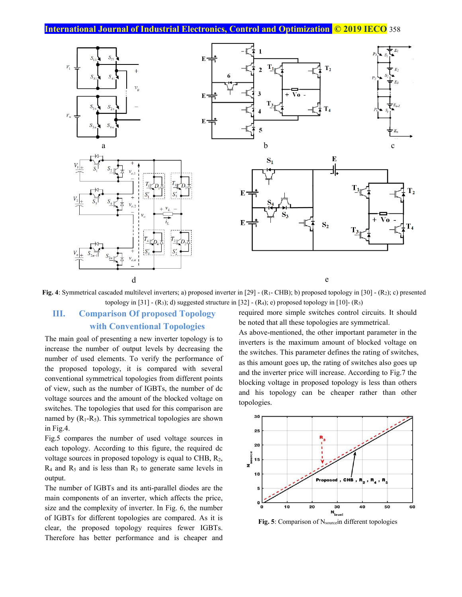

**Fig. 4**: Symmetrical cascaded multilevel inverters; a) proposed inverter in [29] - (R1- CHB); b) proposed topology in [30] - (R2); c) presented topology in  $[31]$  - (R<sub>3</sub>); d) suggested structure in  $[32]$  - (R<sub>4</sub>); e) proposed topology in  $[10]$ - (R<sub>5</sub>)

## **III. Comparison Of proposed Topology with Conventional Topologies**

The main goal of presenting a new inverter topology is to increase the number of output levels by decreasing the number of used elements. To verify the performance of the proposed topology, it is compared with several conventional symmetrical topologies from different points of view, such as the number of IGBTs, the number of dc voltage sources and the amount of the blocked voltage on switches. The topologies that used for this comparison are named by  $(R_1-R_5)$ . This symmetrical topologies are shown in Fig.4.

Fig.5 compares the number of used voltage sources in each topology. According to this figure, the required dc voltage sources in proposed topology is equal to CHB, R2,  $R_4$  and  $R_5$  and is less than  $R_3$  to generate same levels in output.

The number of IGBTs and its anti-parallel diodes are the main components of an inverter, which affects the price, size and the complexity of inverter. In Fig. 6, the number of IGBTs for different topologies are compared. As it is clear, the proposed topology requires fewer IGBTs. Therefore has better performance and is cheaper and required more simple switches control circuits. It should be noted that all these topologies are symmetrical.

As above-mentioned, the other important parameter in the inverters is the maximum amount of blocked voltage on the switches. This parameter defines the rating of switches, as this amount goes up, the rating of switches also goes up and the inverter price will increase. According to Fig.7 the blocking voltage in proposed topology is less than others and his topology can be cheaper rather than other topologies.



Fig. 5: Comparison of Nsourcein different topologies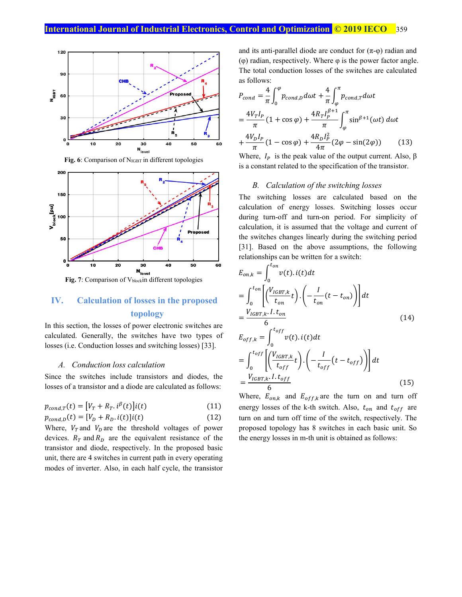

Fig. 6: Comparison of N<sub>IGBT</sub> in different topologies



### **IV. Calculation of losses in the proposed topology**

In this section, the losses of power electronic switches are calculated. Generally, the switches have two types of losses (i.e. Conduction losses and switching losses) [33].

#### *A. Conduction loss calculation*

Since the switches include transistors and diodes, the losses of a transistor and a diode are calculated as follows:

$$
p_{cond,T}(t) = [V_T + R_T \cdot i^{\beta}(t)]i(t)
$$
\n(11)

$$
p_{cond,D}(t) = [V_D + R_D. \, i(t)] i(t) \tag{12}
$$

Where,  $V_T$  and  $V_D$  are the threshold voltages of power devices.  $R_T$  and  $R_D$  are the equivalent resistance of the transistor and diode, respectively. In the proposed basic unit, there are 4 switches in current path in every operating modes of inverter. Also, in each half cycle, the transistor

and its anti-parallel diode are conduct for  $(\pi-\varphi)$  radian and (φ) radian, respectively. Where φ is the power factor angle. The total conduction losses of the switches are calculated as follows:

$$
P_{cond} = \frac{4}{\pi} \int_{0}^{\varphi} p_{cond,D} \, d\omega t + \frac{4}{\pi} \int_{\varphi}^{\pi} p_{cond,T} \, d\omega t
$$
\n
$$
= \frac{4V_{T}I_{P}}{\pi} \left(1 + \cos\varphi\right) + \frac{4R_{T}I_{P}^{\beta+1}}{\pi} \int_{\varphi}^{\pi} \sin^{\beta+1}(\omega t) \, d\omega t
$$
\n
$$
+ \frac{4V_{D}I_{P}}{\pi} \left(1 - \cos\varphi\right) + \frac{4R_{D}I_{P}^{2}}{4\pi} \left(2\varphi - \sin(2\varphi)\right) \tag{13}
$$

Where,  $I_P$  is the peak value of the output current. Also,  $\beta$ is a constant related to the specification of the transistor.

#### *B. Calculation of the switching losses*

The switching losses are calculated based on the calculation of energy losses. Switching losses occur during turn-off and turn-on period. For simplicity of calculation, it is assumed that the voltage and current of the switches changes linearly during the switching period [31]. Based on the above assumptions, the following relationships can be written for a switch:

$$
E_{on,k} = \int_0^{t_{on}} v(t).i(t)dt
$$
  
\n
$$
= \int_0^{t_{on}} \left[ \left( \frac{V_{IGBT,k}}{t_{on}} t \right) \cdot \left( -\frac{I}{t_{on}} (t - t_{on}) \right) \right] dt
$$
  
\n
$$
= \frac{V_{IGBT,k}.I.t_{on}}{6}
$$
  
\n
$$
E_{off,k} = \int_0^{t_{off}} v(t).i(t)dt
$$
  
\n
$$
= \int_0^{t_{off}} \left[ \left( \frac{V_{IGBT,k}}{t_{off}} t \right) \cdot \left( -\frac{I}{t_{off}} (t - t_{off}) \right) \right] dt
$$
  
\n
$$
= \frac{V_{IGBT,k}.I.t_{off}}{6}
$$
 (15)

Where,  $E_{on,k}$  and  $E_{off,k}$  are the turn on and turn off energy losses of the k-th switch. Also,  $t_{on}$  and  $t_{off}$  are turn on and turn off time of the switch, respectively. The proposed topology has 8 switches in each basic unit. So the energy losses in m-th unit is obtained as follows: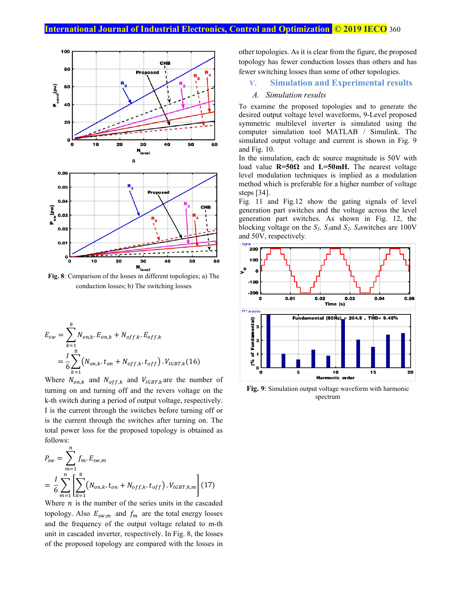

conduction losses; b) The switching losses

$$
E_{sw} = \sum_{k=1}^{8} N_{on,k} \cdot E_{on,k} + N_{off,k} \cdot E_{off,k}
$$
  
=  $\frac{l}{6} \sum_{k=1}^{8} (N_{on,k} \cdot t_{on} + N_{off,k} \cdot t_{off}) \cdot V_{IGBT,k}$  (16)

Where  $N_{on,k}$  and  $N_{off,k}$  and  $V_{IGBT,k}$  are the number of turning on and turning off and the revers voltage on the k-th switch during a period of output voltage, respectively. I is the current through the switches before turning off or is the current through the switches after turning on. The total power loss for the proposed topology is obtained as follows:  $\overline{n}$ 

$$
P_{sw} = \sum_{m=1}^{n} f_m \cdot E_{sw,m}
$$
  
=  $\frac{I}{6} \sum_{m=1}^{n} \left[ \sum_{k=1}^{8} (N_{on,k} \cdot t_{on} + N_{off,k} \cdot t_{off}) \cdot V_{IGBT,k,m} \right]$  (17)

Where  $n$  is the number of the series units in the cascaded topology. Also  $E_{sw,m}$  and  $f_m$  are the total energy losses and the frequency of the output voltage related to m-th unit in cascaded inverter, respectively. In Fig. 8, the losses of the proposed topology are compared with the losses in other topologies. As it is clear from the figure, the proposed topology has fewer conduction losses than others and has fewer switching losses than some of other topologies.

#### **V. Simulation and Experimental results**

#### *A. Simulation results*

To examine the proposed topologies and to generate the desired output voltage level waveforms, 9-Level proposed symmetric multilevel inverter is simulated using the computer simulation tool MATLAB / Simulink. The simulated output voltage and current is shown in Fig. 9 and Fig. 10.

In the simulation, each dc source magnitude is 50V with load value  $R=50\Omega$  and  $L=50mH$ . The nearest voltage level modulation techniques is implied as a modulation method which is preferable for a higher number of voltage steps [34].

Fig. 11 and Fig.12 show the gating signals of level generation part switches and the voltage across the level generation part switches. As shown in Fig. 12, the blocking voltage on the *S1, S3*and *S2, S4*switches are 100V and 50V, respectively.



**Fig. 9**: Simulation output voltage waveform with harmonic spectrum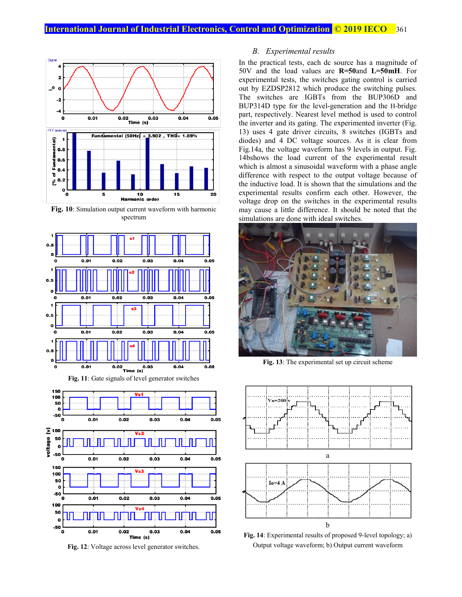

**Fig. 10**: Simulation output current waveform with harmonic spectrum





**Fig. 12**: Voltage across level generator switches.

#### *B. Experimental results*

In the practical tests, each dc source has a magnitude of 50V and the load values are **R=50**and **L=50mH**. For experimental tests, the switches gating control is carried out by EZDSP2812 which produce the switching pulses. The switches are IGBTs from the BUP306D and BUP314D type for the level-generation and the H-bridge part, respectively. Nearest level method is used to control the inverter and its gating. The experimented inverter (Fig. 13) uses 4 gate driver circuits, 8 switches (IGBTs and diodes) and 4 DC voltage sources. As it is clear from Fig.14a, the voltage waveform has 9 levels in output. Fig. 14bshows the load current of the experimental result which is almost a sinusoidal waveform with a phase angle difference with respect to the output voltage because of the inductive load. It is shown that the simulations and the experimental results confirm each other. However, the voltage drop on the switches in the experimental results may cause a little difference. It should be noted that the simulations are done with ideal switches.



**Fig. 13**: The experimental set up circuit scheme



**Fig. 14**: Experimental results of proposed 9-level topology; a) Output voltage waveform; b) Output current waveform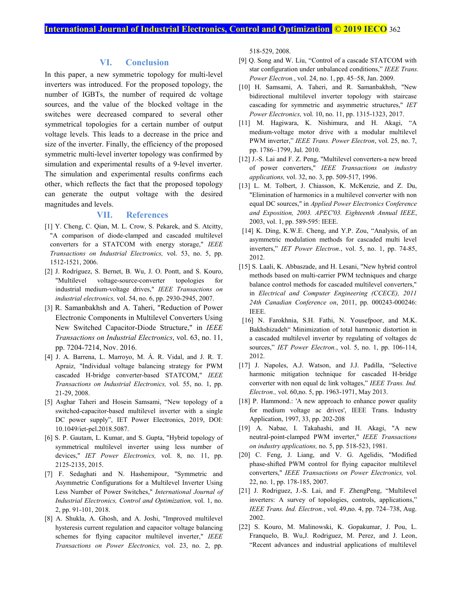#### **VI. Conclusion**

In this paper, a new symmetric topology for multi-level inverters was introduced. For the proposed topology, the number of IGBTs, the number of required dc voltage sources, and the value of the blocked voltage in the switches were decreased compared to several other symmetrical topologies for a certain number of output voltage levels. This leads to a decrease in the price and size of the inverter. Finally, the efficiency of the proposed symmetric multi-level inverter topology was confirmed by simulation and experimental results of a 9-level inverter. The simulation and experimental results confirms each other, which reflects the fact that the proposed topology can generate the output voltage with the desired magnitudes and levels.

#### **VII. References**

- [1] Y. Cheng, C. Qian, M. L. Crow, S. Pekarek, and S. Atcitty, "A comparison of diode-clamped and cascaded multilevel converters for a STATCOM with energy storage," *IEEE Transactions on Industrial Electronics,* vol. 53, no. 5, pp. 1512-1521, 2006.
- [2] J. Rodríguez, S. Bernet, B. Wu, J. O. Pontt, and S. Kouro, "Multilevel voltage-source-converter topologies for industrial medium-voltage drives," *IEEE Transactions on industrial electronics,* vol. 54, no. 6, pp. 2930-2945, 2007.
- [3] R. Samanbakhsh and A. Taheri, "Reduction of Power Electronic Components in Multilevel Converters Using New Switched Capacitor-Diode Structure," in *IEEE Transactions on Industrial Electronics*, vol. 63, no. 11, pp. 7204-7214, Nov. 2016.
- [4] J. A. Barrena, L. Marroyo, M. Á. R. Vidal, and J. R. T. Apraiz, "Individual voltage balancing strategy for PWM cascaded H-bridge converter-based STATCOM," *IEEE Transactions on Industrial Electronics,* vol. 55, no. 1, pp. 21-29, 2008.
- [5] Asghar Taheri and Hosein Samsami, "New topology of a switched-capacitor-based multilevel inverter with a single DC power supply", IET Power Electronics, 2019, DOI: 10.1049/iet-pel.2018.5087.
- [6] S. P. Gautam, L. Kumar, and S. Gupta, "Hybrid topology of symmetrical multilevel inverter using less number of devices," *IET Power Electronics,* vol. 8, no. 11, pp. 2125-2135, 2015.
- [7] F. Sedaghati and N. Hashemipour, "Symmetric and Asymmetric Configurations for a Multilevel Inverter Using Less Number of Power Switches," *International Journal of Industrial Electronics, Control and Optimization,* vol. 1, no. 2, pp. 91-101, 2018.
- [8] A. Shukla, A. Ghosh, and A. Joshi, "Improved multilevel hysteresis current regulation and capacitor voltage balancing schemes for flying capacitor multilevel inverter," *IEEE Transactions on Power Electronics,* vol. 23, no. 2, pp.

518-529, 2008.

- [9] Q. Song and W. Liu, "Control of a cascade STATCOM with star configuration under unbalanced conditions," *IEEE Trans. Power Electron.*, vol. 24, no. 1, pp. 45–58, Jan. 2009.
- [10] H. Samsami, A. Taheri, and R. Samanbakhsh, "New bidirectional multilevel inverter topology with staircase cascading for symmetric and asymmetric structures," *IET Power Electronics,* vol. 10, no. 11, pp. 1315-1323, 2017.
- [11] M. Hagiwara, K. Nishimura, and H. Akagi, "A medium-voltage motor drive with a modular multilevel PWM inverter," *IEEE Trans. Power Electron*, vol. 25, no. 7, pp. 1786–1799, Jul. 2010.
- [12] J.-S. Lai and F. Z. Peng, "Multilevel converters-a new breed of power converters," *IEEE Transactions on industry applications,* vol. 32, no. 3, pp. 509-517, 1996.
- [13] L. M. Tolbert, J. Chiasson, K. McKenzie, and Z. Du, "Elimination of harmonics in a multilevel converter with non equal DC sources," in *Applied Power Electronics Conference and Exposition, 2003. APEC'03. Eighteenth Annual IEEE*, 2003, vol. 1, pp. 589-595: IEEE.
- [14] K. Ding, K.W.E. Cheng, and Y.P. Zou, "Analysis, of an asymmetric modulation methods for cascaded multi level inverters," *IET Power Electron.*, vol. 5, no. 1, pp. 74-85, 2012.
- [15] S. Laali, K. Abbaszade, and H. Lesani, "New hybrid control methods based on multi-carrier PWM techniques and charge balance control methods for cascaded multilevel converters," in *Electrical and Computer Engineering (CCECE), 2011 24th Canadian Conference on*, 2011, pp. 000243-000246: IEEE.
- [16] N. Farokhnia, S.H. Fathi, N. Yousefpoor, and M.K. Bakhshizadeh" Minimization of total harmonic distortion in a cascaded multilevel inverter by regulating of voltages dc sources," *IET Power Electron.*, vol. 5, no. 1, pp. 106-114, 2012.
- [17] J. Napoles, A.J. Watson, and J.J. Padilla, "Selective harmonic mitigation technique for cascaded H-bridge converter with non equal dc link voltages," *IEEE Trans. Ind. Electron.,* vol. 60,no. 5, pp. 1963-1971, May 2013.
- [18] P. Hammond.: 'A new approach to enhance power quality for medium voltage ac drives', IEEE Trans. Industry Application, 1997, 33, pp. 202-208
- [19] A. Nabae, I. Takahashi, and H. Akagi, "A new neutral-point-clamped PWM inverter," *IEEE Transactions on industry applications,* no. 5, pp. 518-523, 1981.
- [20] C. Feng, J. Liang, and V. G. Agelidis, "Modified phase-shifted PWM control for flying capacitor multilevel converters," *IEEE Transactions on Power Electronics,* vol. 22, no. 1, pp. 178-185, 2007.
- [21] J. Rodriguez, J.-S. Lai, and F. ZhengPeng, "Multilevel inverters: A survey of topologies, controls, applications," *IEEE Trans. Ind. Electron.*, vol. 49,no. 4, pp. 724–738, Aug. 2002.
- [22] S. Kouro, M. Malinowski, K. Gopakumar, J. Pou, L. Franquelo, B. Wu,J. Rodriguez, M. Perez, and J. Leon, "Recent advances and industrial applications of multilevel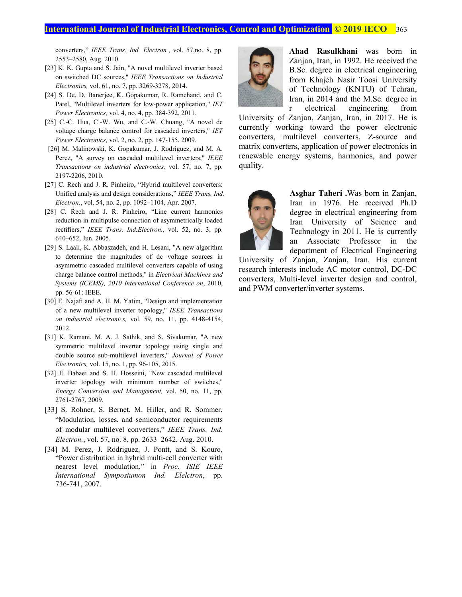converters," *IEEE Trans. Ind. Electron.*, vol. 57,no. 8, pp. 2553–2580, Aug. 2010.

- [23] K. K. Gupta and S. Jain, "A novel multilevel inverter based on switched DC sources," *IEEE Transactions on Industrial Electronics,* vol. 61, no. 7, pp. 3269-3278, 2014.
- [24] S. De, D. Banerjee, K. Gopakumar, R. Ramchand, and C. Patel, "Multilevel inverters for low-power application," *IET Power Electronics,* vol. 4, no. 4, pp. 384-392, 2011.
- [25] C.-C. Hua, C.-W. Wu, and C.-W. Chuang, "A novel dc voltage charge balance control for cascaded inverters," *IET Power Electronics,* vol. 2, no. 2, pp. 147-155, 2009.
- [26] M. Malinowski, K. Gopakumar, J. Rodriguez, and M. A. Perez, "A survey on cascaded multilevel inverters," *IEEE Transactions on industrial electronics,* vol. 57, no. 7, pp. 2197-2206, 2010.
- [27] C. Rech and J. R. Pinheiro, "Hybrid multilevel converters: Unified analysis and design considerations," *IEEE Trans. Ind. Electron.*, vol. 54, no. 2, pp. 1092–1104, Apr. 2007.
- [28] C. Rech and J. R. Pinheiro, "Line current harmonics reduction in multipulse connection of asymmetrically loaded rectifiers," *IEEE Trans. Ind.Electron.*, vol. 52, no. 3, pp. 640–652, Jun. 2005.
- [29] S. Laali, K. Abbaszadeh, and H. Lesani, "A new algorithm to determine the magnitudes of dc voltage sources in asymmetric cascaded multilevel converters capable of using charge balance control methods," in *Electrical Machines and Systems (ICEMS), 2010 International Conference on*, 2010, pp. 56-61: IEEE.
- [30] E. Najafi and A. H. M. Yatim, "Design and implementation of a new multilevel inverter topology," *IEEE Transactions on industrial electronics,* vol. 59, no. 11, pp. 4148-4154, 2012.
- [31] K. Ramani, M. A. J. Sathik, and S. Sivakumar, "A new symmetric multilevel inverter topology using single and double source sub-multilevel inverters," *Journal of Power Electronics,* vol. 15, no. 1, pp. 96-105, 2015.
- [32] E. Babaei and S. H. Hosseini, "New cascaded multilevel inverter topology with minimum number of switches," *Energy Conversion and Management,* vol. 50, no. 11, pp. 2761-2767, 2009.
- [33] S. Rohner, S. Bernet, M. Hiller, and R. Sommer, "Modulation, losses, and semiconductor requirements of modular multilevel converters," *IEEE Trans. Ind. Electron.*, vol. 57, no. 8, pp. 2633–2642, Aug. 2010.
- [34] M. Perez, J. Rodriguez, J. Pontt, and S. Kouro, "Power distribution in hybrid multi-cell converter with nearest level modulation," in *Proc. ISIE IEEE International Symposiumon Ind. Elelctron*, pp. 736-741, 2007.



**Ahad Rasulkhani** was born in Zanjan, Iran, in 1992. He received the B.Sc. degree in electrical engineering from Khajeh Nasir Toosi University of Technology (KNTU) of Tehran, Iran, in 2014 and the M.Sc. degree in r electrical engineering from

University of Zanjan, Zanjan, Iran, in 2017. He is currently working toward the power electronic converters, multilevel converters, Z-source and matrix converters, application of power electronics in renewable energy systems, harmonics, and power quality.



**Asghar Taheri .**Was born in Zanjan, Iran in 1976. He received Ph.D degree in electrical engineering from Iran University of Science and Technology in 2011. He is currently an Associate Professor in the department of Electrical Engineering

University of Zanjan, Zanjan, Iran. His current research interests include AC motor control, DC-DC converters, Multi-level inverter design and control, and PWM converter/inverter systems.